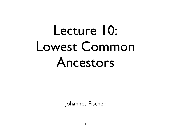## Lecture 10: Lowest Common Ancestors

Johannes Fischer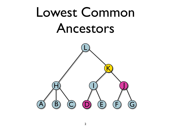### Lowest Common Ancestors

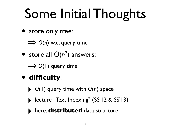## Some Initial Thoughts

• store only tree:

 $\implies$  **O(n)** w.c. query time

• store all Θ(*n*2) answers:

**⇒** *O*(1) query time

- **difficulty**:
	- ‣ *<sup>O</sup>*(1) query time with *O*(*n*) space
	- ‣ lecture "Text Indexing" (SS'12 & SS'13)
	-
- ‣ here: **distributed** data structure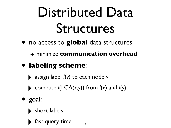## Distributed Data Structures

• no access to **global** data structures

↝ minimize **communication overhead**

- **labeling scheme**:
	- ‣ assign label *l*(*v*) to each node *<sup>v</sup>*
	- $\blacktriangleright$  compute  $I(LCA(x,y))$  from  $I(x)$  and  $I(y)$
- goal:
	- ‣ short labels
		- fast query time  $4\frac{4}{4}$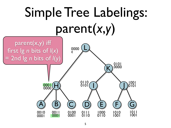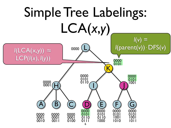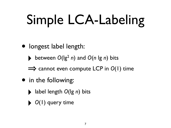# Simple LCA-Labeling

- longest label length:
	- between  $O(|g^2 n)$  and  $O(n |g n)$  bits
	- $\implies$  **cannot even compute LCP in O(1) time**
- in the following:
	- ‣ label length *O*(lg *n*) bits
	- ‣ *<sup>O</sup>*(1) query time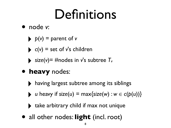### Definitions

- node *v*:
	- $\rightarrow$  *p*(*v*) = parent of *v*
	- $\bullet$  *c(v)* = set of *v*'s children
	- $\triangleright$  size(*v*)= #nodes in *v*'s subtree  $T_v$
- **heavy** nodes:
	- having largest subtree among its siblings
	- *u* heavy if *size*(*u*) = max{*size*(*w*) :  $w \in c(p(u))$ }
	- ‣ take arbitrary child if max not unique
- all other nodes: **light** (incl. root)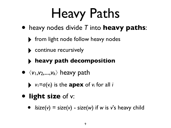## Heavy Paths

- heavy nodes divide *T* into **heavy paths**:
	- ‣ from light node follow heavy nodes
	- ‣ continue recursively

#### ‣ **heavy path decomposition**

- ⟨*v*1,*v*2,...,*vk*⟩ heavy path
	- $\triangleright$   $v_1 = a(v_i)$  is the **apex** of  $v_i$  for all *i*

#### • **light size** of v:

•  $Isize(v) = size(v) - size(w)$  if w is v's heavy child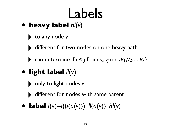### Labels

- **heavy label** *hl*(*v*)
	- ‣ to any node *<sup>v</sup>*
	- different for two nodes on one heavy path
	- can determine if  $i < j$  from  $v_i$ ,  $v_j$  on  $\langle v_1, v_2,...,v_k \rangle$
- **light label** *ll*(v):
	- ‣ only to light nodes *<sup>v</sup>*
	- different for nodes with same parent
- **label** *<sup>l</sup>*(v)=*l*(*p*(*a*(*v*)))⋅*ll*(*a*(*v*))⋅*hl*(*v*)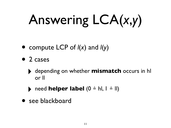# Answering LCA(*x*,*y*)

- compute LCP of *l*(*x*) and *l*(*y*)
- 2 cases
	- ‣ depending on whether **mismatch** occurs in hl or ll
	- ‣ need **helper label** (0 ≙ hl, 1 ≙ ll)
- see blackboard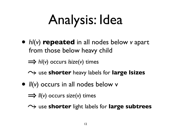# Analysis: Idea

• *hl*(*v*) **repeated** in all nodes below *v* apart from those below heavy child

㱺 *hl*(*v*) occurs *lsize*(*v*) times

- ⤳ use **shorter** heavy labels for **large lsizes**
- *ll*(*v*) occurs in all nodes below v
	- $\implies$ *ll***(***v***) occurs** *size***(***v***) times**
	- ⤳ use **shorter** light labels for **large subtrees**